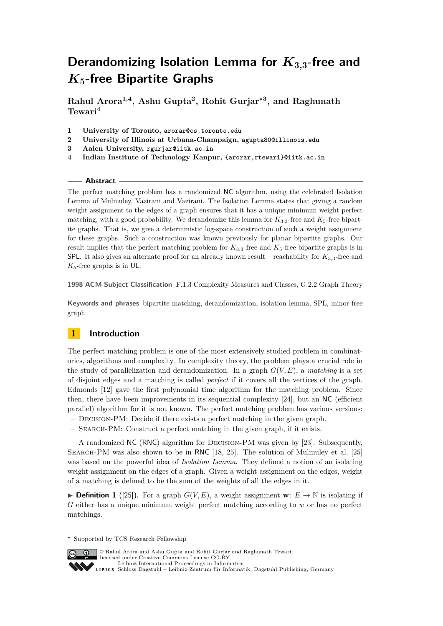**Rahul Arora1,4, Ashu Gupta<sup>2</sup> , Rohit Gurjar<sup>∗</sup><sup>3</sup> , and Raghunath Tewari<sup>4</sup>**

- **1 University of Toronto, arorar@cs.toronto.edu**
- **2 University of Illinois at Urbana-Champaign, agupta80@illinois.edu**
- **3 Aalen University, rgurjar@iitk.ac.in**
- **4 Indian Institute of Technology Kanpur, {arorar,rtewari}@iitk.ac.in**

## **Abstract**

The perfect matching problem has a randomized NC algorithm, using the celebrated Isolation Lemma of Mulmuley, Vazirani and Vazirani. The Isolation Lemma states that giving a random weight assignment to the edges of a graph ensures that it has a unique minimum weight perfect matching, with a good probability. We derandomize this lemma for  $K_{3,3}$ -free and  $K_{5}$ -free bipartite graphs. That is, we give a deterministic log-space construction of such a weight assignment for these graphs. Such a construction was known previously for planar bipartite graphs. Our result implies that the perfect matching problem for  $K_{3,3}$ -free and  $K_5$ -free bipartite graphs is in SPL. It also gives an alternate proof for an already known result – reachability for *K*3*,*3-free and *K*5-free graphs is in UL.

**1998 ACM Subject Classification** F.1.3 Complexity Measures and Classes, G.2.2 Graph Theory

**Keywords and phrases** bipartite matching, derandomization, isolation lemma, SPL, minor-free graph

# **1 Introduction**

The perfect matching problem is one of the most extensively studied problem in combinatorics, algorithms and complexity. In complexity theory, the problem plays a crucial role in the study of parallelization and derandomization. In a graph  $G(V, E)$ , a *matching* is a set of disjoint edges and a matching is called *perfect* if it covers all the vertices of the graph. Edmonds [\[12\]](#page-12-0) gave the first polynomial time algorithm for the matching problem. Since then, there have been improvements in its sequential complexity [\[24\]](#page-13-0), but an NC (efficient parallel) algorithm for it is not known. The perfect matching problem has various versions:

- Decision-PM: Decide if there exists a perfect matching in the given graph.
- Search-PM: Construct a perfect matching in the given graph, if it exists.

A randomized NC (RNC) algorithm for Decision-PM was given by [\[23\]](#page-13-1). Subsequently, Search-PM was also shown to be in RNC [\[18,](#page-13-2) [25\]](#page-13-3). The solution of Mulmuley et al. [\[25\]](#page-13-3) was based on the powerful idea of *Isolation Lemma*. They defined a notion of an isolating weight assignment on the edges of a graph. Given a weight assignment on the edges, weight of a matching is defined to be the sum of the weights of all the edges in it.

▶ **Definition 1** ([\[25\]](#page-13-3)). For a graph  $G(V, E)$ , a weight assignment **w**:  $E \rightarrow \mathbb{N}$  is isolating if *G* either has a unique minimum weight perfect matching according to *w* or has no perfect matchings.

**<sup>∗</sup>** Supported by TCS Research Fellowship



**C**  $\bullet$  © Rahul Arora and Ashu Gupta and Rohit Gurjar and Raghunath Tewari; licensed under Creative Commons License CC-BY [Leibniz International Proceedings in Informatics](http://www.dagstuhl.de/lipics/)

[Schloss Dagstuhl – Leibniz-Zentrum für Informatik, Dagstuhl Publishing, Germany](http://www.dagstuhl.de)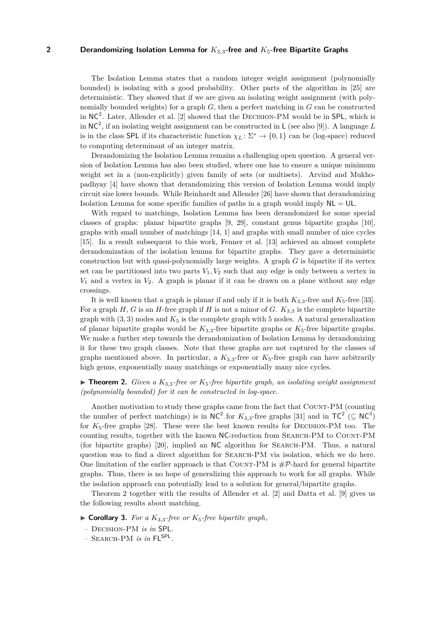The Isolation Lemma states that a random integer weight assignment (polynomially bounded) is isolating with a good probability. Other parts of the algorithm in [\[25\]](#page-13-3) are deterministic. They showed that if we are given an isolating weight assignment (with polynomially bounded weights) for a graph *G*, then a perfect matching in *G* can be constructed in  $NC<sup>2</sup>$ . Later, Allender et al. [\[2\]](#page-12-1) showed that the DECISION-PM would be in SPL, which is in NC<sup>2</sup> , if an isolating weight assignment can be constructed in L (see also [\[9\]](#page-12-2)). A language *L* is in the class SPL if its characteristic function  $\chi_L : \Sigma^* \to \{0,1\}$  can be (log-space) reduced to computing determinant of an integer matrix.

Derandomizing the Isolation Lemma remains a challenging open question. A general version of Isolation Lemma has also been studied, where one has to ensure a unique minimum weight set in a (non-explicitly) given family of sets (or multisets). Arvind and Mukhopadhyay [\[4\]](#page-12-3) have shown that derandomizing this version of Isolation Lemma would imply circuit size lower bounds. While Reinhardt and Allender [\[26\]](#page-13-4) have shown that derandomizing Isolation Lemma for some specific families of paths in a graph would imply  $NL = UL$ .

With regard to matchings, Isolation Lemma has been derandomized for some special classes of graphs: planar bipartite graphs [\[9,](#page-12-2) [29\]](#page-13-5), constant genus bipartite graphs [\[10\]](#page-12-4), graphs with small number of matchings [\[14,](#page-12-5) [1\]](#page-12-6) and graphs with small number of nice cycles [\[15\]](#page-12-7). In a result subsequent to this work, Fenner et al. [\[13\]](#page-12-8) achieved an almost complete derandomization of the isolation lemma for bipartite graphs. They gave a deterministic construction but with quasi-polynomially large weights. A graph *G* is bipartite if its vertex set can be partitioned into two parts  $V_1, V_2$  such that any edge is only between a vertex in *V*<sup>1</sup> and a vertex in *V*2. A graph is planar if it can be drawn on a plane without any edge crossings.

It is well known that a graph is planar if and only if it is both  $K_{3,3}$ -free and  $K_5$ -free [\[33\]](#page-13-6). For a graph *H*, *G* is an *H*-free graph if *H* is not a minor of *G*.  $K_{3,3}$  is the complete bipartite graph with  $(3, 3)$  nodes and  $K_5$  is the complete graph with 5 nodes. A natural generalization of planar bipartite graphs would be  $K_{3,3}$ -free bipartite graphs or  $K_5$ -free bipartite graphs. We make a further step towards the derandomization of Isolation Lemma by derandomizing it for these two graph classes. Note that these graphs are not captured by the classes of graphs mentioned above. In particular, a  $K_{3,3}$ -free or  $K_5$ -free graph can have arbitrarily high genus, exponentially many matchings or exponentially many nice cycles.

## <span id="page-1-0"></span>**Findmen 2.** *Given a*  $K_{3,3}$ -free or  $K_{5}$ -free bipartite graph, an isolating weight assignment *(polynomially bounded) for it can be constructed in log-space.*

Another motivation to study these graphs came from the fact that Count-PM (counting the number of perfect matchings) is in  $NC^2$  for  $K_{3,3}$ -free graphs [\[31\]](#page-13-7) and in  $TC^2$  ( $\subseteq NC^3$ ) for *K*5-free graphs [\[28\]](#page-13-8). These were the best known results for Decision-PM too. The counting results, together with the known NC-reduction from Search-PM to Count-PM (for bipartite graphs) [\[20\]](#page-13-9), implied an NC algorithm for Search-PM. Thus, a natural question was to find a direct algorithm for Search-PM via isolation, which we do here. One limitation of the earlier approach is that COUNT-PM is  $\#P$ -hard for general bipartite graphs. Thus, there is no hope of generalizing this approach to work for all graphs. While the isolation approach can potentially lead to a solution for general/bipartite graphs.

Theorem [2](#page-1-0) together with the results of Allender et al. [\[2\]](#page-12-1) and Datta et al. [\[9\]](#page-12-2) gives us the following results about matching.

 $\triangleright$  **Corollary 3.** *For a*  $K_{3,3}$ *-free or*  $K_5$ *-free bipartite graph,* 

*–* Decision-PM *is in* SPL*.*

*–* Search-PM *is in* FLSPL *.*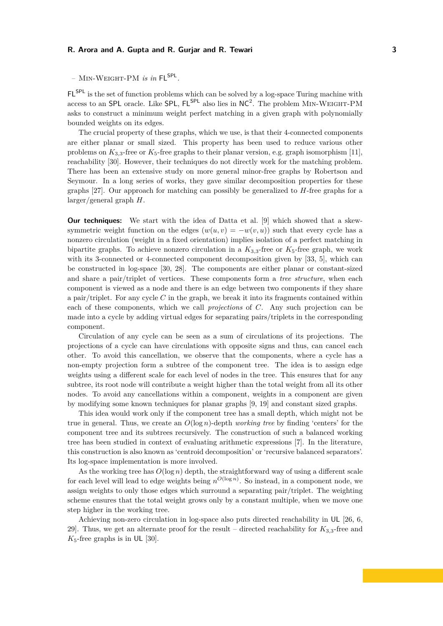FLSPL is the set of function problems which can be solved by a log-space Turing machine with access to an SPL oracle. Like SPL,  $FL^{SPL}$  also lies in  $NC^2$ . The problem MIN-WEIGHT-PM asks to construct a minimum weight perfect matching in a given graph with polynomially bounded weights on its edges.

The crucial property of these graphs, which we use, is that their 4-connected components are either planar or small sized. This property has been used to reduce various other problems on  $K_{3,3}$ -free or  $K_5$ -free graphs to their planar version, e.g. graph isomorphism [\[11\]](#page-12-9), reachability [\[30\]](#page-13-10). However, their techniques do not directly work for the matching problem. There has been an extensive study on more general minor-free graphs by Robertson and Seymour. In a long series of works, they gave similar decomposition properties for these graphs [\[27\]](#page-13-11). Our approach for matching can possibly be generalized to *H*-free graphs for a larger/general graph *H*.

**Our techniques:** We start with the idea of Datta et al. [\[9\]](#page-12-2) which showed that a skewsymmetric weight function on the edges  $(w(u, v) = -w(v, u))$  such that every cycle has a nonzero circulation (weight in a fixed orientation) implies isolation of a perfect matching in bipartite graphs. To achieve nonzero circulation in a  $K_{3,3}$ -free or  $K_5$ -free graph, we work with its 3-connected or 4-connected component decomposition given by [\[33,](#page-13-6) [5\]](#page-12-10), which can be constructed in log-space [\[30,](#page-13-10) [28\]](#page-13-8). The components are either planar or constant-sized and share a pair/triplet of vertices. These components form a *tree structure*, when each component is viewed as a node and there is an edge between two components if they share a pair/triplet. For any cycle *C* in the graph, we break it into its fragments contained within each of these components, which we call *projections* of *C*. Any such projection can be made into a cycle by adding virtual edges for separating pairs/triplets in the corresponding component.

Circulation of any cycle can be seen as a sum of circulations of its projections. The projections of a cycle can have circulations with opposite signs and thus, can cancel each other. To avoid this cancellation, we observe that the components, where a cycle has a non-empty projection form a subtree of the component tree. The idea is to assign edge weights using a different scale for each level of nodes in the tree. This ensures that for any subtree, its root node will contribute a weight higher than the total weight from all its other nodes. To avoid any cancellations within a component, weights in a component are given by modifying some known techniques for planar graphs [\[9,](#page-12-2) [19\]](#page-13-12) and constant sized graphs.

This idea would work only if the component tree has a small depth, which might not be true in general. Thus, we create an  $O(\log n)$ -depth *working tree* by finding 'centers' for the component tree and its subtrees recursively. The construction of such a balanced working tree has been studied in context of evaluating arithmetic expressions [\[7\]](#page-12-11). In the literature, this construction is also known as 'centroid decomposition' or 'recursive balanced separators'. Its log-space implementation is more involved.

As the working tree has  $O(\log n)$  depth, the straightforward way of using a different scale for each level will lead to edge weights being  $n^{O(\log n)}$ . So instead, in a component node, we assign weights to only those edges which surround a separating pair/triplet. The weighting scheme ensures that the total weight grows only by a constant multiple, when we move one step higher in the working tree.

Achieving non-zero circulation in log-space also puts directed reachability in UL [\[26,](#page-13-4) [6,](#page-12-12) [29\]](#page-13-5). Thus, we get an alternate proof for the result – directed reachability for  $K_{3,3}$ -free and  $K_5$ -free graphs is in UL [\[30\]](#page-13-10).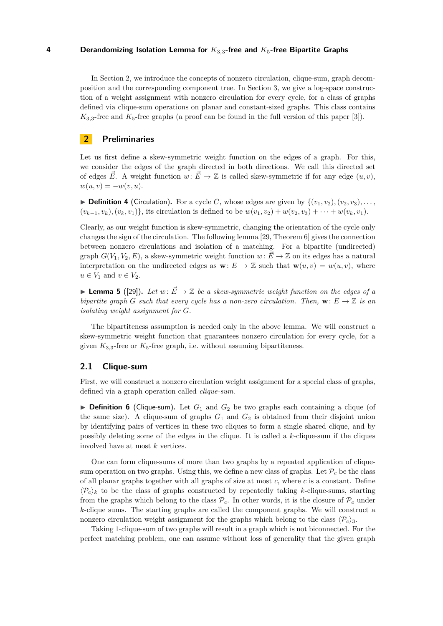In Section [2,](#page-3-0) we introduce the concepts of nonzero circulation, clique-sum, graph decomposition and the corresponding component tree. In Section [3,](#page-4-0) we give a log-space construction of a weight assignment with nonzero circulation for every cycle, for a class of graphs defined via clique-sum operations on planar and constant-sized graphs. This class contains  $K_{3,3}$ -free and  $K_5$ -free graphs (a proof can be found in the full version of this paper [\[3\]](#page-12-13)).

# <span id="page-3-0"></span>**2 Preliminaries**

Let us first define a skew-symmetric weight function on the edges of a graph. For this, we consider the edges of the graph directed in both directions. We call this directed set of edges  $\vec{E}$ . A weight function  $w: \vec{E} \to \mathbb{Z}$  is called skew-symmetric if for any edge  $(u, v)$ ,  $w(u, v) = -w(v, u).$ 

**Definition 4** (Circulation). For a cycle C, whose edges are given by  $\{(v_1, v_2), (v_2, v_3), \ldots\}$  $(v_{k-1}, v_k), (v_k, v_1)$ , its circulation is defined to be  $w(v_1, v_2) + w(v_2, v_3) + \cdots + w(v_k, v_1)$ .

Clearly, as our weight function is skew-symmetric, changing the orientation of the cycle only changes the sign of the circulation. The following lemma [\[29,](#page-13-5) Theorem 6] gives the connection between nonzero circulations and isolation of a matching. For a bipartite (undirected) graph  $G(V_1, V_2, E)$ , a skew-symmetric weight function  $w: \vec{E} \to \mathbb{Z}$  on its edges has a natural interpretation on the undirected edges as  $\mathbf{w}: E \to \mathbb{Z}$  such that  $\mathbf{w}(u, v) = w(u, v)$ , where  $u \in V_1$  and  $v \in V_2$ .

**Lemma 5** ([\[29\]](#page-13-5)). Let  $w: \vec{E} \to \mathbb{Z}$  be a skew-symmetric weight function on the edges of a *bipartite graph G such that every cycle has a non-zero circulation. Then,*  $\mathbf{w}: E \to \mathbb{Z}$  *is an isolating weight assignment for G.*

The bipartiteness assumption is needed only in the above lemma. We will construct a skew-symmetric weight function that guarantees nonzero circulation for every cycle, for a given  $K_{3,3}$ -free or  $K_5$ -free graph, i.e. without assuming bipartiteness.

## **2.1 Clique-sum**

First, we will construct a nonzero circulation weight assignment for a special class of graphs, defined via a graph operation called *clique-sum*.

**Definition 6** (Clique-sum). Let  $G_1$  and  $G_2$  be two graphs each containing a clique (of the same size). A clique-sum of graphs  $G_1$  and  $G_2$  is obtained from their disjoint union by identifying pairs of vertices in these two cliques to form a single shared clique, and by possibly deleting some of the edges in the clique. It is called a *k*-clique-sum if the cliques involved have at most *k* vertices.

One can form clique-sums of more than two graphs by a repeated application of cliquesum operation on two graphs. Using this, we define a new class of graphs. Let  $\mathcal{P}_c$  be the class of all planar graphs together with all graphs of size at most *c*, where *c* is a constant. Define  $\langle \mathcal{P}_c \rangle_k$  to be the class of graphs constructed by repeatedly taking *k*-clique-sums, starting from the graphs which belong to the class  $P_c$ . In other words, it is the closure of  $P_c$  under *k*-clique sums. The starting graphs are called the component graphs. We will construct a nonzero circulation weight assignment for the graphs which belong to the class  $\langle \mathcal{P}_c \rangle$ <sub>3</sub>.

Taking 1-clique-sum of two graphs will result in a graph which is not biconnected. For the perfect matching problem, one can assume without loss of generality that the given graph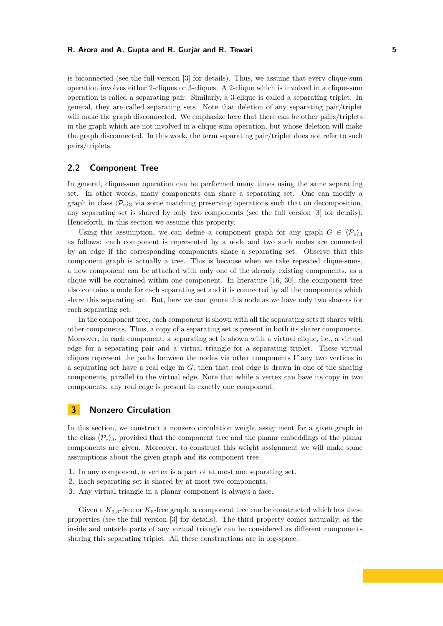is biconnected (see the full version [\[3\]](#page-12-13) for details). Thus, we assume that every clique-sum operation involves either 2-cliques or 3-cliques. A 2-clique which is involved in a clique-sum operation is called a separating pair. Similarly, a 3-clique is called a separating triplet. In general, they are called separating sets. Note that deletion of any separating pair/triplet will make the graph disconnected. We emphasize here that there can be other pairs/triplets in the graph which are not involved in a clique-sum operation, but whose deletion will make the graph disconnected. In this work, the term separating pair/triplet does not refer to such pairs/triplets.

## **2.2 Component Tree**

In general, clique-sum operation can be performed many times using the same separating set. In other words, many components can share a separating set. One can modify a graph in class  $\langle \mathcal{P}_c \rangle$ <sub>3</sub> via some matching preserving operations such that on decomposition, any separating set is shared by only two components (see the full version [\[3\]](#page-12-13) for details). Henceforth, in this section we assume this property.

Using this assumption, we can define a component graph for any graph  $G \in \langle \mathcal{P}_c \rangle_3$ as follows: each component is represented by a node and two such nodes are connected by an edge if the corresponding components share a separating set. Observe that this component graph is actually a tree. This is because when we take repeated clique-sums, a new component can be attached with only one of the already existing components, as a clique will be contained within one component. In literature [\[16,](#page-12-14) [30\]](#page-13-10), the component tree also contains a node for each separating set and it is connected by all the components which share this separating set. But, here we can ignore this node as we have only two sharers for each separating set.

In the component tree, each component is shown with all the separating sets it shares with other components. Thus, a copy of a separating set is present in both its sharer components. Moreover, in each component, a separating set is shown with a virtual clique, i.e., a virtual edge for a separating pair and a virtual triangle for a separating triplet. These virtual cliques represent the paths between the nodes via other components If any two vertices in a separating set have a real edge in *G*, then that real edge is drawn in one of the sharing components, parallel to the virtual edge. Note that while a vertex can have its copy in two components, any real edge is present in exactly one component.

## <span id="page-4-0"></span>**3 Nonzero Circulation**

In this section, we construct a nonzero circulation weight assignment for a given graph in the class  $\langle \mathcal{P}_c \rangle$ <sub>3</sub>, provided that the component tree and the planar embeddings of the planar components are given. Moreover, to construct this weight assignment we will make some assumptions about the given graph and its component tree.

- **1.** In any component, a vertex is a part of at most one separating set.
- **2.** Each separating set is shared by at most two components.
- **3.** Any virtual triangle in a planar component is always a face.

Given a  $K_{3,3}$ -free or  $K_5$ -free graph, a component tree can be constructed which has these properties (see the full version [\[3\]](#page-12-13) for details). The third property comes naturally, as the inside and outside parts of any virtual triangle can be considered as different components sharing this separating triplet. All these constructions are in log-space.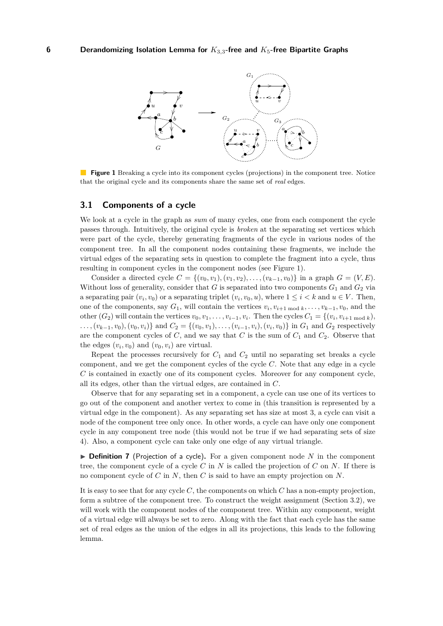<span id="page-5-0"></span>

**Figure 1** Breaking a cycle into its component cycles (projections) in the component tree. Notice that the original cycle and its components share the same set of *real* edges.

## **3.1 Components of a cycle**

We look at a cycle in the graph as *sum* of many cycles, one from each component the cycle passes through. Intuitively, the original cycle is *broken* at the separating set vertices which were part of the cycle, thereby generating fragments of the cycle in various nodes of the component tree. In all the component nodes containing these fragments, we include the virtual edges of the separating sets in question to complete the fragment into a cycle, thus resulting in component cycles in the component nodes (see Figure [1\)](#page-5-0).

Consider a directed cycle  $C = \{(v_0, v_1), (v_1, v_2), \ldots, (v_{k-1}, v_0)\}$  in a graph  $G = (V, E)$ . Without loss of generality, consider that  $G$  is separated into two components  $G_1$  and  $G_2$  via a separating pair  $(v_i, v_0)$  or a separating triplet  $(v_i, v_0, u)$ , where  $1 \leq i \leq k$  and  $u \in V$ . Then, one of the components, say  $G_1$ , will contain the vertices  $v_i, v_{i+1 \text{ mod } k}, \ldots, v_{k-1}, v_0$ , and the other  $(G_2)$  will contain the vertices  $v_0, v_1, \ldots, v_{i-1}, v_i$ . Then the cycles  $C_1 = \{(v_i, v_{i+1 \mod k}),$  $\dots, (v_{k-1}, v_0), (v_0, v_i)$  and  $C_2 = \{(v_0, v_1), \dots, (v_{i-1}, v_i), (v_i, v_0)\}\$  in  $G_1$  and  $G_2$  respectively are the component cycles of  $C$ , and we say that  $C$  is the sum of  $C_1$  and  $C_2$ . Observe that the edges  $(v_i, v_0)$  and  $(v_0, v_i)$  are virtual.

Repeat the processes recursively for  $C_1$  and  $C_2$  until no separating set breaks a cycle component, and we get the component cycles of the cycle *C*. Note that any edge in a cycle *C* is contained in exactly one of its component cycles. Moreover for any component cycle, all its edges, other than the virtual edges, are contained in *C*.

Observe that for any separating set in a component, a cycle can use one of its vertices to go out of the component and another vertex to come in (this transition is represented by a virtual edge in the component). As any separating set has size at most 3, a cycle can visit a node of the component tree only once. In other words, a cycle can have only one component cycle in any component tree node (this would not be true if we had separating sets of size 4). Also, a component cycle can take only one edge of any virtual triangle.

▶ **Definition 7** (Projection of a cycle). For a given component node N in the component tree, the component cycle of a cycle *C* in *N* is called the projection of *C* on *N*. If there is no component cycle of *C* in *N*, then *C* is said to have an empty projection on *N*.

It is easy to see that for any cycle *C*, the components on which *C* has a non-empty projection, form a subtree of the component tree. To construct the weight assignment (Section [3.2\)](#page-6-0), we will work with the component nodes of the component tree. Within any component, weight of a virtual edge will always be set to zero. Along with the fact that each cycle has the same set of real edges as the union of the edges in all its projections, this leads to the following lemma.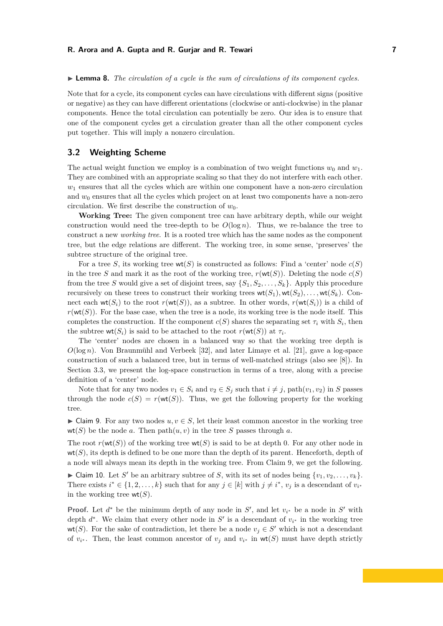#### <span id="page-6-2"></span>▶ **Lemma 8.** *The circulation of a cycle is the sum of circulations of its component cycles.*

Note that for a cycle, its component cycles can have circulations with different signs (positive or negative) as they can have different orientations (clockwise or anti-clockwise) in the planar components. Hence the total circulation can potentially be zero. Our idea is to ensure that one of the component cycles get a circulation greater than all the other component cycles put together. This will imply a nonzero circulation.

## <span id="page-6-0"></span>**3.2 Weighting Scheme**

The actual weight function we employ is a combination of two weight functions  $w_0$  and  $w_1$ . They are combined with an appropriate scaling so that they do not interfere with each other.  $w_1$  ensures that all the cycles which are within one component have a non-zero circulation and  $w_0$  ensures that all the cycles which project on at least two components have a non-zero circulation. We first describe the construction of  $w_0$ .

**Working Tree:** The given component tree can have arbitrary depth, while our weight construction would need the tree-depth to be  $O(\log n)$ . Thus, we re-balance the tree to construct a new *working tree*. It is a rooted tree which has the same nodes as the component tree, but the edge relations are different. The working tree, in some sense, 'preserves' the subtree structure of the original tree.

For a tree *S*, its working tree  $wt(S)$  is constructed as follows: Find a 'center' node  $c(S)$ in the tree *S* and mark it as the root of the working tree,  $r(\text{wt}(S))$ . Deleting the node  $c(S)$ from the tree *S* would give a set of disjoint trees, say  $\{S_1, S_2, \ldots, S_k\}$ . Apply this procedure recursively on these trees to construct their working trees  $wt(S_1), wt(S_2), \ldots, wt(S_k)$ . Connect each  $wt(S_i)$  to the root  $r(wt(S))$ , as a subtree. In other words,  $r(wt(S_i))$  is a child of  $r(wt(S))$ . For the base case, when the tree is a node, its working tree is the node itself. This completes the construction. If the component  $c(S)$  shares the separating set  $\tau_i$  with  $S_i$ , then the subtree  $\textsf{wt}(S_i)$  is said to be attached to the root  $r(\textsf{wt}(S))$  at  $\tau_i$ .

The 'center' nodes are chosen in a balanced way so that the working tree depth is  $O(\log n)$ . Von Braunmühl and Verbeek [\[32\]](#page-13-13), and later Limaye et al. [\[21\]](#page-13-14), gave a log-space construction of such a balanced tree, but in terms of well-matched strings (also see [\[8\]](#page-12-15)). In Section [3.3,](#page-10-0) we present the log-space construction in terms of a tree, along with a precise definition of a 'center' node.

Note that for any two nodes  $v_1 \in S_i$  and  $v_2 \in S_j$  such that  $i \neq j$ ,  $path(v_1, v_2)$  in *S* passes through the node  $c(S) = r(wt(S))$ . Thus, we get the following property for the working tree.

<span id="page-6-1"></span> $\triangleright$  Claim 9. For any two nodes  $u, v \in S$ , let their least common ancestor in the working tree wt(S) be the node *a*. Then  $path(u, v)$  in the tree S passes through *a*.

The root  $r(\text{wt}(S))$  of the working tree  $\text{wt}(S)$  is said to be at depth 0. For any other node in  $wt(S)$ , its depth is defined to be one more than the depth of its parent. Henceforth, depth of a node will always mean its depth in the working tree. From Claim [9,](#page-6-1) we get the following.

<span id="page-6-3"></span>In Claim 10. Let *S'* be an arbitrary subtree of *S*, with its set of nodes being  $\{v_1, v_2, \ldots, v_k\}$ . There exists  $i^* \in \{1, 2, \ldots, k\}$  such that for any  $j \in [k]$  with  $j \neq i^*$ ,  $v_j$  is a descendant of  $v_{i^*}$ in the working tree  $wt(S)$ .

**Proof.** Let  $d^*$  be the minimum depth of any node in  $S'$ , and let  $v_{i^*}$  be a node in  $S'$  with depth  $d^*$ . We claim that every other node in  $S'$  is a descendant of  $v_{i^*}$  in the working tree wt(*S*). For the sake of contradiction, let there be a node  $v_j \in S'$  which is not a descendant of  $v_{i^*}$ . Then, the least common ancestor of  $v_j$  and  $v_{i^*}$  in  $wt(S)$  must have depth strictly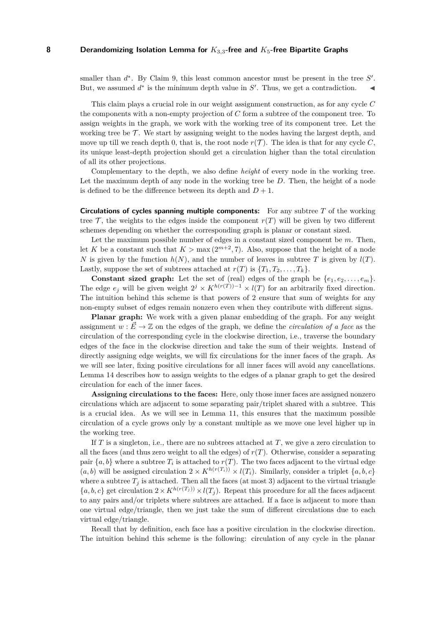smaller than  $d^*$ . By Claim [9,](#page-6-1) this least common ancestor must be present in the tree  $S'$ . But, we assumed  $d^*$  is the minimum depth value in  $S'$ . Thus, we get a contradiction.

This claim plays a crucial role in our weight assignment construction, as for any cycle *C* the components with a non-empty projection of *C* form a subtree of the component tree. To assign weights in the graph, we work with the working tree of its component tree. Let the working tree be  $\mathcal T$ . We start by assigning weight to the nodes having the largest depth, and move up till we reach depth 0, that is, the root node  $r(\mathcal{T})$ . The idea is that for any cycle C, its unique least-depth projection should get a circulation higher than the total circulation of all its other projections.

Complementary to the depth, we also define *height* of every node in the working tree. Let the maximum depth of any node in the working tree be *D*. Then, the height of a node is defined to be the difference between its depth and  $D + 1$ .

**Circulations of cycles spanning multiple components:** For any subtree *T* of the working tree  $\mathcal{T}$ , the weights to the edges inside the component  $r(T)$  will be given by two different schemes depending on whether the corresponding graph is planar or constant sized.

Let the maximum possible number of edges in a constant sized component be *m*. Then, let *K* be a constant such that  $K > \max(2^{m+2}, 7)$ . Also, suppose that the height of a node *N* is given by the function  $h(N)$ , and the number of leaves in subtree *T* is given by  $l(T)$ . Lastly, suppose the set of subtrees attached at  $r(T)$  is  $\{T_1, T_2, \ldots, T_k\}$ .

**Constant sized graph:** Let the set of (real) edges of the graph be  $\{e_1, e_2, \ldots, e_m\}$ . The edge  $e_j$  will be given weight  $2^j \times K^{h(r(T)) - 1} \times l(T)$  for an arbitrarily fixed direction. The intuition behind this scheme is that powers of 2 ensure that sum of weights for any non-empty subset of edges remain nonzero even when they contribute with different signs.

**Planar graph:** We work with a given planar embedding of the graph. For any weight assignment  $w : \vec{E} \to \mathbb{Z}$  on the edges of the graph, we define the *circulation of a face* as the circulation of the corresponding cycle in the clockwise direction, i.e., traverse the boundary edges of the face in the clockwise direction and take the sum of their weights. Instead of directly assigning edge weights, we will fix circulations for the inner faces of the graph. As we will see later, fixing positive circulations for all inner faces will avoid any cancellations. Lemma [14](#page-9-0) describes how to assign weights to the edges of a planar graph to get the desired circulation for each of the inner faces.

**Assigning circulations to the faces:** Here, only those inner faces are assigned nonzero circulations which are adjacent to some separating pair/triplet shared with a subtree. This is a crucial idea. As we will see in Lemma [11,](#page-8-0) this ensures that the maximum possible circulation of a cycle grows only by a constant multiple as we move one level higher up in the working tree.

If *T* is a singleton, i.e., there are no subtrees attached at *T*, we give a zero circulation to all the faces (and thus zero weight to all the edges) of  $r(T)$ . Otherwise, consider a separating pair  $\{a, b\}$  where a subtree  $T_i$  is attached to  $r(T)$ . The two faces adjacent to the virtual edge  $(a, b)$  will be assigned circulation  $2 \times K^{h(r(T_i))} \times l(T_i)$ . Similarly, consider a triplet  $\{a, b, c\}$ where a subtree  $T_j$  is attached. Then all the faces (at most 3) adjacent to the virtual triangle  ${a, b, c}$  get circulation  $2 \times K^{h(r(T_j))} \times l(T_j)$ . Repeat this procedure for all the faces adjacent to any pairs and/or triplets where subtrees are attached. If a face is adjacent to more than one virtual edge/triangle, then we just take the sum of different circulations due to each virtual edge/triangle.

Recall that by definition, each face has a positive circulation in the clockwise direction. The intuition behind this scheme is the following: circulation of any cycle in the planar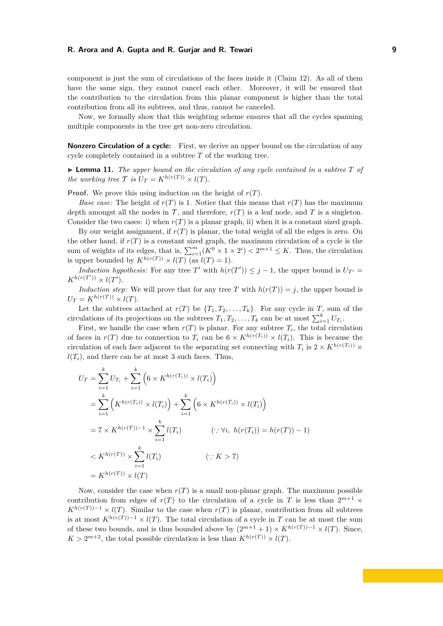component is just the sum of circulations of the faces inside it (Claim [12\)](#page-9-1). As all of them have the same sign, they cannot cancel each other. Moreover, it will be ensured that the contribution to the circulation from this planar component is higher than the total contribution from all its subtrees, and thus, cannot be canceled.

Now, we formally show that this weighting scheme ensures that all the cycles spanning multiple components in the tree get non-zero circulation.

**Nonzero Circulation of a cycle:** First, we derive an upper bound on the circulation of any cycle completely contained in a subtree *T* of the working tree.

<span id="page-8-0"></span> $\blacktriangleright$  **Lemma 11.** *The upper bound on the circulation of any cycle contained in a subtree*  $T$  *of the working tree*  $\mathcal{T}$  *is*  $U_T = K^{h(r(T))} \times l(T)$ *.* 

**Proof.** We prove this using induction on the height of *r*(*T*).

*Base case:* The height of  $r(T)$  is 1. Notice that this means that  $r(T)$  has the maximum depth amongst all the nodes in  $\mathcal{T}$ , and therefore,  $r(T)$  is a leaf node, and T is a singleton. Consider the two cases: i) when  $r(T)$  is a planar graph, ii) when it is a constant sized graph.

By our weight assignment, if  $r(T)$  is planar, the total weight of all the edges is zero. On the other hand, if  $r(T)$  is a constant sized graph, the maximum circulation of a cycle is the sum of weights of its edges, that is,  $\sum_{i=1}^{m} (K^0 \times 1 \times 2^i) < 2^{m+1} \leq K$ . Thus, the circulation is upper bounded by  $K^{\tilde{h}(r(T))} \times l(T)$  (as  $l(T) = 1$ ).

*Induction hypothesis:* For any tree *T*' with  $h(r(T')) \leq j - 1$ , the upper bound is  $U_{T'} =$  $K^{h(r(T'))} \times l(T')$ .

*Induction step:* We will prove that for any tree *T* with  $h(r(T)) = j$ , the upper bound is  $U_T = K^{h(r(T))} \times l(T)$ .

Let the subtrees attached at  $r(T)$  be  $\{T_1, T_2, \ldots, T_k\}$ . For any cycle in *T*, sum of the circulations of its projections on the subtrees  $T_1, T_2, \ldots, T_k$  can be at most  $\sum_{i=1}^k U_{T_i}$ .

First, we handle the case when  $r(T)$  is planar. For any subtree  $T_i$ , the total circulation of faces in  $r(T)$  due to connection to  $T_i$  can be  $6 \times K^{h(r(T_i))} \times l(T_i)$ . This is because the circulation of each face adjacent to the separating set connecting with  $T_i$  is  $2 \times K^{h(r(T_i))} \times$  $l(T_i)$ , and there can be at most 3 such faces. Thus,

$$
U_T = \sum_{i=1}^{k} U_{T_i} + \sum_{i=1}^{k} \left( 6 \times K^{h(r(T_i))} \times l(T_i) \right)
$$
  
= 
$$
\sum_{i=1}^{k} \left( K^{h(r(T_i))} \times l(T_i) \right) + \sum_{i=1}^{k} \left( 6 \times K^{h(r(T_i))} \times l(T_i) \right)
$$
  
= 
$$
7 \times K^{h(r(T)) - 1} \times \sum_{i=1}^{k} l(T_i) \qquad (\because \forall i, h(r(T_i)) = h(r(T)) - 1)
$$
  

$$
< K^{h(r(T))} \times \sum_{i=1}^{k} l(T_i) \qquad (\because K > 7)
$$
  
= 
$$
K^{h(r(T))} \times l(T)
$$

Now, consider the case when  $r(T)$  is a small non-planar graph. The maximum possible contribution from edges of  $r(T)$  to the circulation of a cycle in *T* is less than  $2^{m+1}$   $\times$  $K^{h(r(T))-1} \times l(T)$ . Similar to the case when *r*(*T*) is planar, contribution from all subtrees is at most  $K^{h(r(T))-1} \times l(T)$ . The total circulation of a cycle in *T* can be at most the sum of these two bounds, and is thus bounded above by  $(2^{m+1} + 1) \times K^{h(r(T)) - 1} \times l(T)$ . Since,  $K > 2^{m+2}$ , the total possible circulation is less than  $K^{h(r(T))} \times l(T)$ .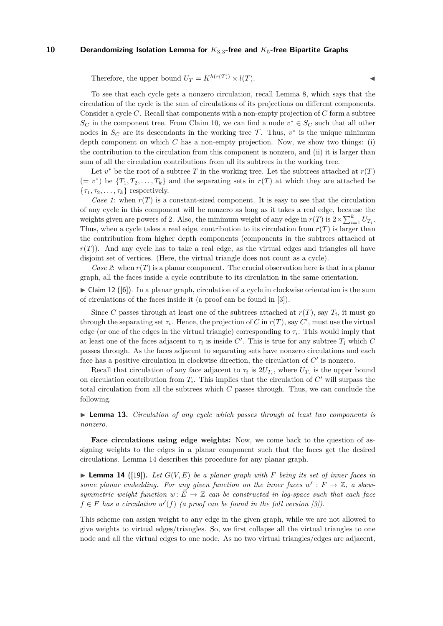Therefore, the upper bound  $U_T = K^{h(r(T))} \times l(T)$ .

To see that each cycle gets a nonzero circulation, recall Lemma [8,](#page-6-2) which says that the circulation of the cycle is the sum of circulations of its projections on different components. Consider a cycle *C*. Recall that components with a non-empty projection of *C* form a subtree  $S_C$  in the component tree. From Claim [10,](#page-6-3) we can find a node  $v^* \in S_C$  such that all other nodes in  $S_C$  are its descendants in the working tree  $\mathcal{T}$ . Thus,  $v^*$  is the unique minimum depth component on which *C* has a non-empty projection. Now, we show two things: (i) the contribution to the circulation from this component is nonzero, and (ii) it is larger than sum of all the circulation contributions from all its subtrees in the working tree.

Let  $v^*$  be the root of a subtree *T* in the working tree. Let the subtrees attached at  $r(T)$  $(= v^*)$  be  $\{T_1, T_2, \ldots, T_k\}$  and the separating sets in  $r(T)$  at which they are attached be  ${\tau_1, \tau_2, \ldots, \tau_k}$  respectively.

*Case 1*: when  $r(T)$  is a constant-sized component. It is easy to see that the circulation of any cycle in this component will be nonzero as long as it takes a real edge, because the weights given are powers of 2. Also, the minimum weight of any edge in  $r(T)$  is  $2 \times \sum_{i=1}^{k} U_{T_i}$ . Thus, when a cycle takes a real edge, contribution to its circulation from  $r(T)$  is larger than the contribution from higher depth components (components in the subtrees attached at  $r(T)$ ). And any cycle has to take a real edge, as the virtual edges and triangles all have disjoint set of vertices. (Here, the virtual triangle does not count as a cycle).

*Case 2*: when  $r(T)$  is a planar component. The crucial observation here is that in a planar graph, all the faces inside a cycle contribute to its circulation in the same orientation.

<span id="page-9-1"></span> $\triangleright$  Claim 12 ([\[6\]](#page-12-12)). In a planar graph, circulation of a cycle in clockwise orientation is the sum of circulations of the faces inside it (a proof can be found in [\[3\]](#page-12-13)).

Since *C* passes through at least one of the subtrees attached at  $r(T)$ , say  $T_i$ , it must go through the separating set  $\tau_i$ . Hence, the projection of *C* in  $r(T)$ , say *C*<sup> $\prime$ </sup>, must use the virtual edge (or one of the edges in the virtual triangle) corresponding to *τ<sup>i</sup>* . This would imply that at least one of the faces adjacent to  $\tau_i$  is inside  $C'$ . This is true for any subtree  $T_i$  which  $C$ passes through. As the faces adjacent to separating sets have nonzero circulations and each face has a positive circulation in clockwise direction, the circulation of  $C'$  is nonzero.

Recall that circulation of any face adjacent to  $\tau_i$  is  $2U_{T_i}$ , where  $U_{T_i}$  is the upper bound on circulation contribution from  $T_i$ . This implies that the circulation of  $C'$  will surpass the total circulation from all the subtrees which *C* passes through. Thus, we can conclude the following.

<span id="page-9-2"></span>► **Lemma 13.** *Circulation of any cycle which passes through at least two components is nonzero.*

**Face circulations using edge weights:** Now, we come back to the question of assigning weights to the edges in a planar component such that the faces get the desired circulations. Lemma [14](#page-9-0) describes this procedure for any planar graph.

<span id="page-9-0"></span> $\blacktriangleright$  **Lemma 14** ([\[19\]](#page-13-12)). Let  $G(V, E)$  be a planar graph with F being its set of inner faces in some planar embedding. For any given function on the inner faces  $w': F \to \mathbb{Z}$ , a skew*symmetric weight function*  $w: \vec{E} \to \mathbb{Z}$  *can be constructed in log-space such that each face*  $f \in F$  *has a circulation*  $w'(f)$  *(a proof can be found in the full version [\[3\]](#page-12-13)).* 

This scheme can assign weight to any edge in the given graph, while we are not allowed to give weights to virtual edges/triangles. So, we first collapse all the virtual triangles to one node and all the virtual edges to one node. As no two virtual triangles/edges are adjacent,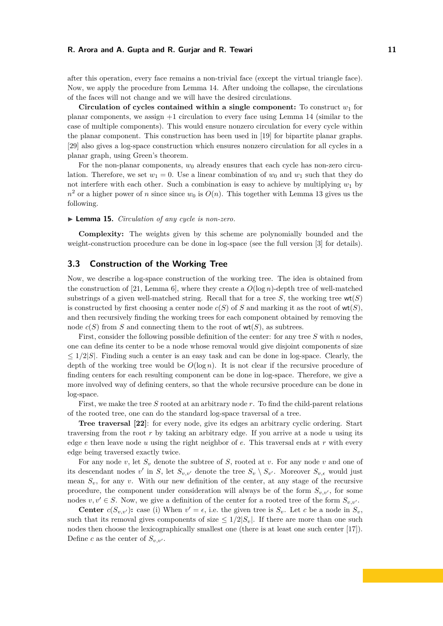after this operation, every face remains a non-trivial face (except the virtual triangle face). Now, we apply the procedure from Lemma [14.](#page-9-0) After undoing the collapse, the circulations of the faces will not change and we will have the desired circulations.

**Circulation of cycles contained within a single component:** To construct  $w_1$  for planar components, we assign  $+1$  circulation to every face using Lemma [14](#page-9-0) (similar to the case of multiple components). This would ensure nonzero circulation for every cycle within the planar component. This construction has been used in [\[19\]](#page-13-12) for bipartite planar graphs. [\[29\]](#page-13-5) also gives a log-space construction which ensures nonzero circulation for all cycles in a planar graph, using Green's theorem.

For the non-planar components,  $w_0$  already ensures that each cycle has non-zero circulation. Therefore, we set  $w_1 = 0$ . Use a linear combination of  $w_0$  and  $w_1$  such that they do not interfere with each other. Such a combination is easy to achieve by multiplying  $w_1$  by  $n^2$  or a higher power of *n* since since  $w_0$  is  $O(n)$ . This together with Lemma [13](#page-9-2) gives us the following.

#### ▶ **Lemma 15.** *Circulation of any cycle is non-zero.*

**Complexity:** The weights given by this scheme are polynomially bounded and the weight-construction procedure can be done in log-space (see the full version [\[3\]](#page-12-13) for details).

## <span id="page-10-0"></span>**3.3 Construction of the Working Tree**

Now, we describe a log-space construction of the working tree. The idea is obtained from the construction of [\[21,](#page-13-14) Lemma 6], where they create a  $O(\log n)$ -depth tree of well-matched substrings of a given well-matched string. Recall that for a tree  $S$ , the working tree  $wt(S)$ is constructed by first choosing a center node  $c(S)$  of *S* and marking it as the root of  $wt(S)$ , and then recursively finding the working trees for each component obtained by removing the node  $c(S)$  from *S* and connecting them to the root of  $wt(S)$ , as subtrees.

First, consider the following possible definition of the center: for any tree *S* with *n* nodes, one can define its center to be a node whose removal would give disjoint components of size ≤ 1*/*2|*S*|. Finding such a center is an easy task and can be done in log-space. Clearly, the depth of the working tree would be  $O(\log n)$ . It is not clear if the recursive procedure of finding centers for each resulting component can be done in log-space. Therefore, we give a more involved way of defining centers, so that the whole recursive procedure can be done in log-space.

First, we make the tree *S* rooted at an arbitrary node *r*. To find the child-parent relations of the rooted tree, one can do the standard log-space traversal of a tree.

**Tree traversal [\[22\]](#page-13-15)**: for every node, give its edges an arbitrary cyclic ordering. Start traversing from the root *r* by taking an arbitrary edge. If you arrive at a node *u* using its edge *e* then leave node *u* using the right neighbor of *e*. This traversal ends at *r* with every edge being traversed exactly twice.

For any node *v*, let *S<sup>v</sup>* denote the subtree of *S*, rooted at *v*. For any node *v* and one of its descendant nodes  $v'$  in *S*, let  $S_{v,v'}$  denote the tree  $S_v \setminus S_{v'}$ . Moreover  $S_{v,\epsilon}$  would just mean  $S_v$ , for any *v*. With our new definition of the center, at any stage of the recursive procedure, the component under consideration will always be of the form  $S_{v,v'}$ , for some nodes  $v, v' \in S$ . Now, we give a definition of the center for a rooted tree of the form  $S_{v,v'}$ .

**Center**  $c(S_{v,v'})$ : case (i) When  $v' = \epsilon$ , i.e. the given tree is  $S_v$ . Let *c* be a node in  $S_v$ , such that its removal gives components of size  $\leq 1/2|S_v|$ . If there are more than one such nodes then choose the lexicographically smallest one (there is at least one such center [\[17\]](#page-12-16)). Define *c* as the center of  $S_{v,v'}$ .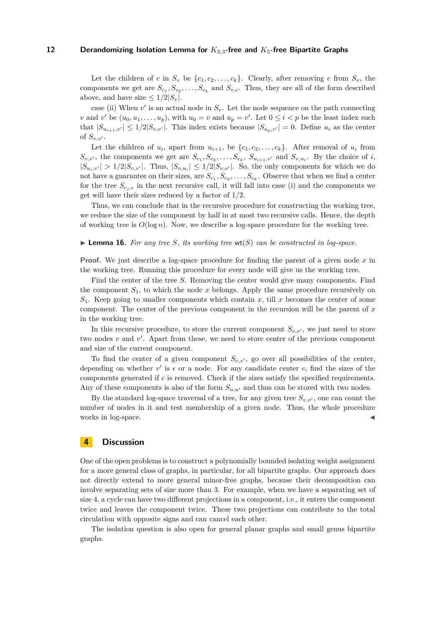Let the children of *c* in  $S_v$  be  $\{c_1, c_2, \ldots, c_k\}$ . Clearly, after removing *c* from  $S_v$ , the components we get are  $S_{c_1}, S_{c_2}, \ldots, S_{c_k}$  and  $S_{v,c}$ . Thus, they are all of the form described above, and have size  $\leq 1/2|S_v|$ .

case (ii) When  $v'$  is an actual node in  $S_v$ . Let the node sequence on the path connecting *v* and *v*' be  $(u_0, u_1, \ldots, u_p)$ , with  $u_0 = v$  and  $u_p = v'$ . Let  $0 \le i < p$  be the least index such that  $|S_{u_{i+1},v'}| \leq 1/2|S_{v,v'}|$ . This index exists because  $|S_{u_p,v'}|=0$ . Define  $u_i$  as the center of  $S_{v,v'}$ .

Let the children of  $u_i$ , apart from  $u_{i+1}$ , be  $\{c_1, c_2, \ldots, c_k\}$ . After removal of  $u_i$  from  $S_{v,v'}$ , the components we get are  $S_{c_1}, S_{c_2}, \ldots, S_{c_k}, S_{u_{i+1},v'}$  and  $S_{v,u_i}$ . By the choice of *i*,  $|S_{u_i,v'}| > 1/2|S_{v,v'}|$ . Thus,  $|S_{v,u_i}| \leq 1/2|S_{v,v'}|$ . So, the only components for which we do not have a guarantee on their sizes, are  $S_{c_1}, S_{c_2}, \ldots, S_{c_k}$ . Observe that when we find a center for the tree  $S_{c_i,\epsilon}$  in the next recursive call, it will fall into case (i) and the components we get will have their sizes reduced by a factor of 1*/*2.

Thus, we can conclude that in the recursive procedure for constructing the working tree, we reduce the size of the component by half in at most two recursive calls. Hence, the depth of working tree is  $O(\log n)$ . Now, we describe a log-space procedure for the working tree.

## **Lemma 16.** For any tree *S*, its working tree  $wt(S)$  can be constructed in log-space.

**Proof.** We just describe a log-space procedure for finding the parent of a given node x in the working tree. Running this procedure for every node will give us the working tree.

Find the center of the tree *S*. Removing the center would give many components. Find the component  $S_1$ , to which the node  $x$  belongs. Apply the same procedure recursively on  $S_1$ . Keep going to smaller components which contain *x*, till *x* becomes the center of some component. The center of the previous component in the recursion will be the parent of *x* in the working tree.

In this recursive procedure, to store the current component  $S_{v,v}$ , we just need to store two nodes  $v$  and  $v'$ . Apart from these, we need to store center of the previous component and size of the current component.

To find the center of a given component  $S_{v,v'}$ , go over all possibilities of the center, depending on whether  $v'$  is  $\epsilon$  or a node. For any candidate center c, find the sizes of the components generated if *c* is removed. Check if the sizes satisfy the specified requirements. Any of these components is also of the form  $S_{u,u'}$  and thus can be stored with two nodes.

By the standard log-space traversal of a tree, for any given tree  $S_{v,v'}$ , one can count the number of nodes in it and test membership of a given node. Thus, the whole procedure works in log-space.

# **4 Discussion**

One of the open problems is to construct a polynomially bounded isolating weight assignment for a more general class of graphs, in particular, for all bipartite graphs. Our approach does not directly extend to more general minor-free graphs, because their decomposition can involve separating sets of size more than 3. For example, when we have a separating set of size 4, a cycle can have two different projections in a component, i.e., it enters the component twice and leaves the component twice. These two projections can contribute to the total circulation with opposite signs and can cancel each other.

The isolation question is also open for general planar graphs and small genus bipartite graphs.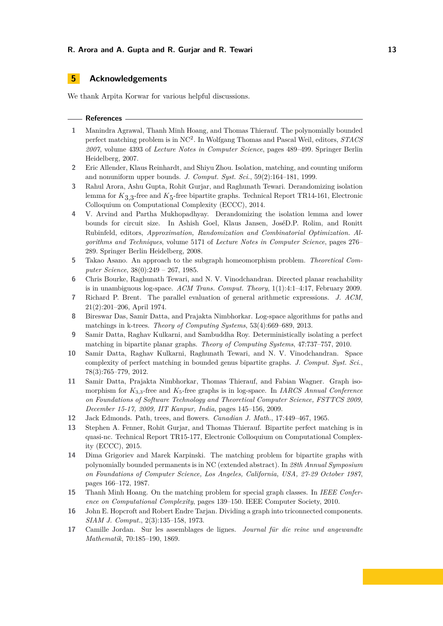# **5 Acknowledgements**

We thank Arpita Korwar for various helpful discussions.

### **References**

- <span id="page-12-6"></span>**1** Manindra Agrawal, Thanh Minh Hoang, and Thomas Thierauf. The polynomially bounded perfect matching problem is in NC<sup>2</sup> . In Wolfgang Thomas and Pascal Weil, editors, *STACS 2007*, volume 4393 of *Lecture Notes in Computer Science*, pages 489–499. Springer Berlin Heidelberg, 2007.
- <span id="page-12-1"></span>**2** Eric Allender, Klaus Reinhardt, and Shiyu Zhou. Isolation, matching, and counting uniform and nonuniform upper bounds. *J. Comput. Syst. Sci.*, 59(2):164–181, 1999.
- <span id="page-12-13"></span>**3** Rahul Arora, Ashu Gupta, Rohit Gurjar, and Raghunath Tewari. Derandomizing isolation lemma for  $K_{3,3}$ -free and  $K_5$ -free bipartite graphs. Technical Report TR14-161, Electronic Colloquium on Computational Complexity (ECCC), 2014.
- <span id="page-12-3"></span>**4** V. Arvind and Partha Mukhopadhyay. Derandomizing the isolation lemma and lower bounds for circuit size. In Ashish Goel, Klaus Jansen, JoséD.P. Rolim, and Ronitt Rubinfeld, editors, *Approximation, Randomization and Combinatorial Optimization. Algorithms and Techniques*, volume 5171 of *Lecture Notes in Computer Science*, pages 276– 289. Springer Berlin Heidelberg, 2008.
- <span id="page-12-10"></span>**5** Takao Asano. An approach to the subgraph homeomorphism problem. *Theoretical Computer Science*, 38(0):249 – 267, 1985.
- <span id="page-12-12"></span>**6** Chris Bourke, Raghunath Tewari, and N. V. Vinodchandran. Directed planar reachability is in unambiguous log-space. *ACM Trans. Comput. Theory*, 1(1):4:1–4:17, February 2009.
- <span id="page-12-11"></span>**7** Richard P. Brent. The parallel evaluation of general arithmetic expressions. *J. ACM*, 21(2):201–206, April 1974.
- <span id="page-12-15"></span>**8** Bireswar Das, Samir Datta, and Prajakta Nimbhorkar. Log-space algorithms for paths and matchings in k-trees. *Theory of Computing Systems*, 53(4):669–689, 2013.
- <span id="page-12-2"></span>**9** Samir Datta, Raghav Kulkarni, and Sambuddha Roy. Deterministically isolating a perfect matching in bipartite planar graphs. *Theory of Computing Systems*, 47:737–757, 2010.
- <span id="page-12-4"></span>**10** Samir Datta, Raghav Kulkarni, Raghunath Tewari, and N. V. Vinodchandran. Space complexity of perfect matching in bounded genus bipartite graphs. *J. Comput. Syst. Sci.*, 78(3):765–779, 2012.
- <span id="page-12-9"></span>**11** Samir Datta, Prajakta Nimbhorkar, Thomas Thierauf, and Fabian Wagner. Graph isomorphism for  $K_{3,3}$ -free and  $K_5$ -free graphs is in log-space. In *IARCS Annual Conference on Foundations of Software Technology and Theoretical Computer Science, FSTTCS 2009, December 15-17, 2009, IIT Kanpur, India*, pages 145–156, 2009.
- <span id="page-12-0"></span>**12** Jack Edmonds. Path, trees, and flowers. *Canadian J. Math.*, 17:449–467, 1965.
- <span id="page-12-8"></span>**13** Stephen A. Fenner, Rohit Gurjar, and Thomas Thierauf. Bipartite perfect matching is in quasi-nc. Technical Report TR15-177, Electronic Colloquium on Computational Complexity (ECCC), 2015.
- <span id="page-12-5"></span>**14** Dima Grigoriev and Marek Karpinski. The matching problem for bipartite graphs with polynomially bounded permanents is in NC (extended abstract). In *28th Annual Symposium on Foundations of Computer Science, Los Angeles, California, USA, 27-29 October 1987*, pages 166–172, 1987.
- <span id="page-12-7"></span>**15** Thanh Minh Hoang. On the matching problem for special graph classes. In *IEEE Conference on Computational Complexity*, pages 139–150. IEEE Computer Society, 2010.
- <span id="page-12-14"></span>**16** John E. Hopcroft and Robert Endre Tarjan. Dividing a graph into triconnected components. *SIAM J. Comput.*, 2(3):135–158, 1973.
- <span id="page-12-16"></span>**17** Camille Jordan. Sur les assemblages de lignes. *Journal für die reine und angewandte Mathematik*, 70:185–190, 1869.